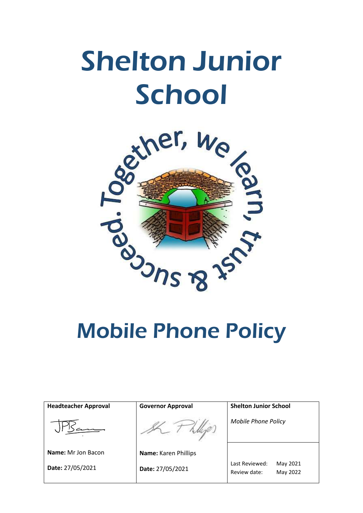# Shelton Junior School



| <b>Headteacher Approval</b> | <b>Governor Approval</b> | <b>Shelton Junior School</b>                           |
|-----------------------------|--------------------------|--------------------------------------------------------|
|                             |                          | <b>Mobile Phone Policy</b>                             |
| Name: Mr Jon Bacon          | Name: Karen Phillips     |                                                        |
| Date: 27/05/2021            | Date: 27/05/2021         | Last Reviewed:<br>May 2021<br>May 2022<br>Review date: |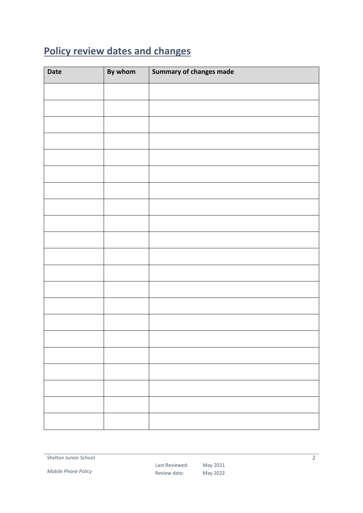## <span id="page-1-0"></span>**Policy review dates and changes**

| Date | By whom | <b>Summary of changes made</b> |
|------|---------|--------------------------------|
|      |         |                                |
|      |         |                                |
|      |         |                                |
|      |         |                                |
|      |         |                                |
|      |         |                                |
|      |         |                                |
|      |         |                                |
|      |         |                                |
|      |         |                                |
|      |         |                                |
|      |         |                                |
|      |         |                                |
|      |         |                                |
|      |         |                                |
|      |         |                                |
|      |         |                                |
|      |         |                                |
|      |         |                                |
|      |         |                                |
|      |         |                                |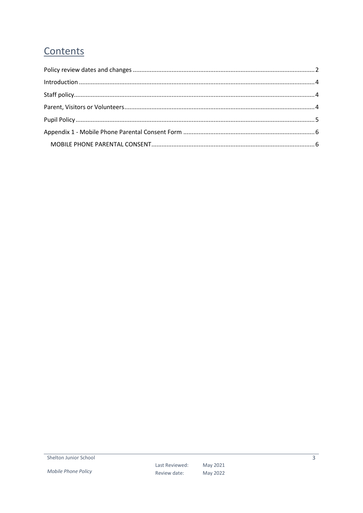### Contents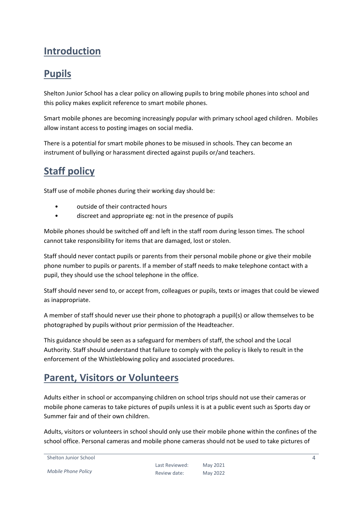#### <span id="page-3-0"></span>**Introduction**

#### **Pupils**

Shelton Junior School has a clear policy on allowing pupils to bring mobile phones into school and this policy makes explicit reference to smart mobile phones.

Smart mobile phones are becoming increasingly popular with primary school aged children. Mobiles allow instant access to posting images on social media.

There is a potential for smart mobile phones to be misused in schools. They can become an instrument of bullying or harassment directed against pupils or/and teachers.

#### <span id="page-3-1"></span>**Staff policy**

Staff use of mobile phones during their working day should be:

- outside of their contracted hours
- discreet and appropriate eg: not in the presence of pupils

Mobile phones should be switched off and left in the staff room during lesson times. The school cannot take responsibility for items that are damaged, lost or stolen.

Staff should never contact pupils or parents from their personal mobile phone or give their mobile phone number to pupils or parents. If a member of staff needs to make telephone contact with a pupil, they should use the school telephone in the office.

Staff should never send to, or accept from, colleagues or pupils, texts or images that could be viewed as inappropriate.

A member of staff should never use their phone to photograph a pupil(s) or allow themselves to be photographed by pupils without prior permission of the Headteacher.

This guidance should be seen as a safeguard for members of staff, the school and the Local Authority. Staff should understand that failure to comply with the policy is likely to result in the enforcement of the Whistleblowing policy and associated procedures.

### <span id="page-3-2"></span>**Parent, Visitors or Volunteers**

Adults either in school or accompanying children on school trips should not use their cameras or mobile phone cameras to take pictures of pupils unless it is at a public event such as Sports day or Summer fair and of their own children.

Adults, visitors or volunteers in school should only use their mobile phone within the confines of the school office. Personal cameras and mobile phone cameras should not be used to take pictures of

```
Shelton Junior School
```
*Mobile Phone Policy*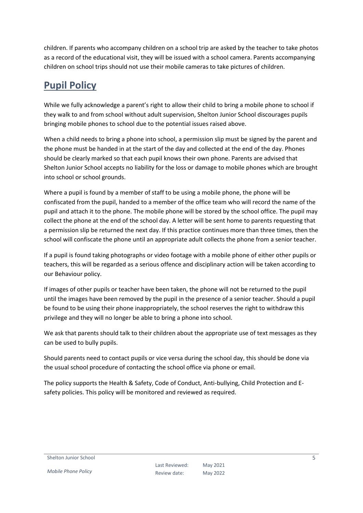children. If parents who accompany children on a school trip are asked by the teacher to take photos as a record of the educational visit, they will be issued with a school camera. Parents accompanying children on school trips should not use their mobile cameras to take pictures of children.

#### <span id="page-4-0"></span>**Pupil Policy**

While we fully acknowledge a parent's right to allow their child to bring a mobile phone to school if they walk to and from school without adult supervision, Shelton Junior School discourages pupils bringing mobile phones to school due to the potential issues raised above.

When a child needs to bring a phone into school, a permission slip must be signed by the parent and the phone must be handed in at the start of the day and collected at the end of the day. Phones should be clearly marked so that each pupil knows their own phone. Parents are advised that Shelton Junior School accepts no liability for the loss or damage to mobile phones which are brought into school or school grounds.

Where a pupil is found by a member of staff to be using a mobile phone, the phone will be confiscated from the pupil, handed to a member of the office team who will record the name of the pupil and attach it to the phone. The mobile phone will be stored by the school office. The pupil may collect the phone at the end of the school day. A letter will be sent home to parents requesting that a permission slip be returned the next day. If this practice continues more than three times, then the school will confiscate the phone until an appropriate adult collects the phone from a senior teacher.

If a pupil is found taking photographs or video footage with a mobile phone of either other pupils or teachers, this will be regarded as a serious offence and disciplinary action will be taken according to our Behaviour policy.

If images of other pupils or teacher have been taken, the phone will not be returned to the pupil until the images have been removed by the pupil in the presence of a senior teacher. Should a pupil be found to be using their phone inappropriately, the school reserves the right to withdraw this privilege and they will no longer be able to bring a phone into school.

We ask that parents should talk to their children about the appropriate use of text messages as they can be used to bully pupils.

Should parents need to contact pupils or vice versa during the school day, this should be done via the usual school procedure of contacting the school office via phone or email.

The policy supports the Health & Safety, Code of Conduct, Anti-bullying, Child Protection and Esafety policies. This policy will be monitored and reviewed as required.

Shelton Junior School